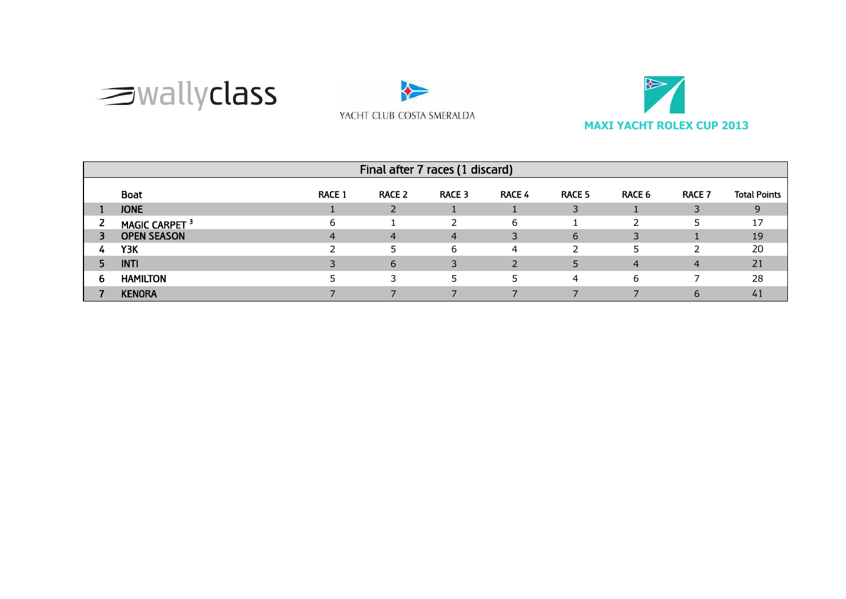





|   | Final after 7 races (1 discard)                                                                                               |   |   |   |   |    |   |   |    |  |  |
|---|-------------------------------------------------------------------------------------------------------------------------------|---|---|---|---|----|---|---|----|--|--|
|   | <b>Boat</b><br><b>Total Points</b><br><b>RACE 4</b><br>RACE 5<br><b>RACE 1</b><br>RACE 3<br>RACE 6<br><b>RACE 7</b><br>RACE 2 |   |   |   |   |    |   |   |    |  |  |
|   | <b>JONE</b>                                                                                                                   |   |   |   |   | 3  |   |   | 9  |  |  |
| ∠ | MAGIC CARPET <sup>3</sup>                                                                                                     | 6 |   |   | 6 |    |   |   | 17 |  |  |
|   | <b>OPEN SEASON</b>                                                                                                            | 4 | 4 | 4 |   | 6  |   |   | 19 |  |  |
| 4 | Y3K                                                                                                                           |   |   | 6 | 4 | ົາ |   |   | 20 |  |  |
|   | <b>INTI</b>                                                                                                                   |   | 6 |   |   |    | 4 | 4 | 21 |  |  |
| 6 | <b>HAMILTON</b>                                                                                                               |   |   |   | 5 | 4  | 6 |   | 28 |  |  |
|   | <b>KENORA</b>                                                                                                                 |   |   |   |   |    |   |   | 41 |  |  |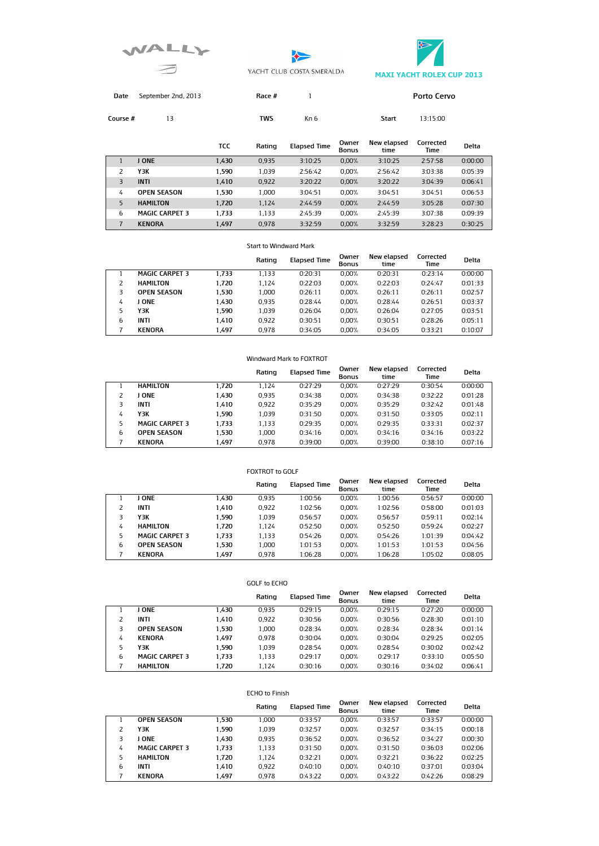





**Porto Cervo** 

| Date September 2nd, 2013 | Race # |  |
|--------------------------|--------|--|
|                          |        |  |

**Course #** 13 **TWS** Kn 6 **Start** 13:15:00

|   |                       | TCC   | Rating | <b>Elapsed Time</b> | Owner<br><b>Bonus</b> | New elapsed<br>time | Corrected<br>Time | Delta   |
|---|-----------------------|-------|--------|---------------------|-----------------------|---------------------|-------------------|---------|
|   | <b>JONE</b>           | 1.430 | 0.935  | 3:10:25             | 0.00%                 | 3:10:25             | 2:57:58           | 0:00:00 |
|   | Y3K                   | 1.590 | 1.039  | 2:56:42             | 0.00%                 | 2:56:42             | 3:03:38           | 0:05:39 |
| 3 | <b>INTI</b>           | 1.410 | 0,922  | 3:20:22             | 0.00%                 | 3:20:22             | 3:04:39           | 0:06:41 |
| 4 | <b>OPEN SEASON</b>    | 1.530 | 1.000  | 3:04:51             | 0.00%                 | 3:04:51             | 3:04:51           | 0:06:53 |
| 5 | <b>HAMILTON</b>       | 1.720 | 1,124  | 2:44:59             | 0.00%                 | 2:44:59             | 3:05:28           | 0:07:30 |
| 6 | <b>MAGIC CARPET 3</b> | 1.733 | 1.133  | 2:45:39             | 0.00%                 | 2:45:39             | 3:07:38           | 0:09:39 |
|   | <b>KENORA</b>         | 1.497 | 0.978  | 3:32:59             | 0.00%                 | 3:32:59             | 3:28:23           | 0:30:25 |

#### Start to Windward Mark

|   |                       |       | Rating | <b>Elapsed Time</b> | Owner<br><b>Bonus</b> | New elapsed<br>time | Corrected<br>Time | Delta   |
|---|-----------------------|-------|--------|---------------------|-----------------------|---------------------|-------------------|---------|
|   | <b>MAGIC CARPET 3</b> | 1.733 | 1.133  | 0:20:31             | 0.00%                 | 0:20:31             | 0:23:14           | 0:00:00 |
|   | <b>HAMILTON</b>       | 1.720 | 1.124  | 0:22:03             | 0.00%                 | 0:22:03             | 0:24:47           | 0:01:33 |
|   | <b>OPEN SEASON</b>    | 1.530 | 1.000  | 0:26:11             | 0.00%                 | 0:26:11             | 0:26:11           | 0:02:57 |
| 4 | J ONE                 | 1.430 | 0.935  | 0:28:44             | 0.00%                 | 0:28:44             | 0:26:51           | 0:03:37 |
| 5 | Y3K                   | 1.590 | 1.039  | 0:26:04             | 0.00%                 | 0:26:04             | 0:27:05           | 0:03:51 |
| 6 | <b>INTI</b>           | 1.410 | 0.922  | 0:30:51             | 0.00%                 | 0:30:51             | 0:28:26           | 0:05:11 |
|   | <b>KENORA</b>         | 1.497 | 0.978  | 0:34:05             | 0.00%                 | 0:34:05             | 0:33:21           | 0:10:07 |

### Windward Mark to FOXTROT

|   |                       |       | Rating | <b>Elapsed Time</b> | Owner<br><b>Bonus</b> | New elapsed<br>time | Corrected<br>Time | <b>Delta</b> |
|---|-----------------------|-------|--------|---------------------|-----------------------|---------------------|-------------------|--------------|
|   | <b>HAMILTON</b>       | 1.720 | 1.124  | 0:27:29             | 0.00%                 | 0:27:29             | 0:30:54           | 0:00:00      |
|   | I ONE                 | 1.430 | 0.935  | 0:34:38             | 0.00%                 | 0:34:38             | 0:32:22           | 0:01:28      |
|   | <b>INTI</b>           | 1.410 | 0.922  | 0:35:29             | 0.00%                 | 0:35:29             | 0:32:42           | 0:01:48      |
| 4 | Y3K                   | 1.590 | 1.039  | 0:31:50             | 0.00%                 | 0:31:50             | 0:33:05           | 0:02:11      |
| 5 | <b>MAGIC CARPET 3</b> | 1.733 | 1.133  | 0:29:35             | 0.00%                 | 0:29:35             | 0:33:31           | 0:02:37      |
| 6 | <b>OPEN SEASON</b>    | 1.530 | 1.000  | 0:34:16             | 0.00%                 | 0:34:16             | 0:34:16           | 0:03:22      |
|   | <b>KENORA</b>         | 1.497 | 0.978  | 0:39:00             | 0.00%                 | 0:39:00             | 0:38:10           | 0:07:16      |

#### FOXTROT to GOLF **Rating Elapsed Time Bonus New elapsed Corrected time Time Delta**  1 **J ONE 1,430** 0,935 1:00:56 0,00% 1:00:56 0:56:57 0:00:00 2 **INTI 1,410** 0,922 1:02:56 0,00% 1:02:56 0:58:00 0:01:03 3 **Y3K 1,590** 1,039 0:56:57 0,00% 0:56:57 0:59:11 0:02:14 4 **HAMILTON 1,720** 1,124 0:52:50 0,00% 0:52:50 0:59:24 0:02:27 5 **MAGIC CARPET 3 1,733** 1,133 0:54:26 0,00% 0:54:26 1:01:39 0:04:42 6 **OPEN SEASON 1,530** 1,000 1:01:53 0,00% 1:01:53 1:01:53 0:04:56 7 **KENORA 1,497** 0,978 1:06:28 0,00% 1:06:28 1:05:02 0:08:05

#### GOLF to ECHO

|   |                       |       | Rating | <b>Elapsed Time</b> | Owner<br><b>Bonus</b> | New elapsed<br>time | Corrected<br>Time | <b>Delta</b> |
|---|-----------------------|-------|--------|---------------------|-----------------------|---------------------|-------------------|--------------|
|   | <b>JONE</b>           | 1.430 | 0.935  | 0:29:15             | 0.00%                 | 0:29:15             | 0:27:20           | 0:00:00      |
|   | <b>INTI</b>           | 1.410 | 0.922  | 0:30:56             | 0.00%                 | 0:30:56             | 0:28:30           | 0:01:10      |
|   | <b>OPEN SEASON</b>    | 1.530 | 1.000  | 0:28:34             | 0.00%                 | 0:28:34             | 0:28:34           | 0:01:14      |
| 4 | <b>KENORA</b>         | 1.497 | 0.978  | 0:30:04             | 0.00%                 | 0:30:04             | 0:29:25           | 0:02:05      |
| 5 | ΥЗΚ                   | 1.590 | 1.039  | 0:28:54             | 0.00%                 | 0:28:54             | 0:30:02           | 0:02:42      |
| 6 | <b>MAGIC CARPET 3</b> | 1.733 | 1.133  | 0:29:17             | 0.00%                 | 0:29:17             | 0:33:10           | 0:05:50      |
|   | <b>HAMILTON</b>       | 1.720 | 1.124  | 0:30:16             | 0.00%                 | 0:30:16             | 0:34:02           | 0:06:41      |

#### ECHO to Finish

|   |                       |       | Rating | <b>Elapsed Time</b> | Owner<br><b>Bonus</b> | New elapsed<br>time | Corrected<br>Time | Delta   |
|---|-----------------------|-------|--------|---------------------|-----------------------|---------------------|-------------------|---------|
|   | <b>OPEN SEASON</b>    | 1.530 | 1.000  | 0:33:57             | 0.00%                 | 0:33:57             | 0:33:57           | 0:00:00 |
|   | Y3K                   | 1.590 | 1.039  | 0:32:57             | 0.00%                 | 0:32:57             | 0:34:15           | 0:00:18 |
|   | <b>JONE</b>           | 1.430 | 0.935  | 0:36:52             | 0.00%                 | 0:36:52             | 0:34:27           | 0:00:30 |
| 4 | <b>MAGIC CARPET 3</b> | 1.733 | 1.133  | 0:31:50             | 0.00%                 | 0:31:50             | 0:36:03           | 0:02:06 |
|   | <b>HAMILTON</b>       | 1.720 | 1.124  | 0:32:21             | 0.00%                 | 0:32:21             | 0:36:22           | 0:02:25 |
| 6 | <b>INTI</b>           | 1.410 | 0.922  | 0:40:10             | 0.00%                 | 0:40:10             | 0:37:01           | 0:03:04 |
|   | <b>KENORA</b>         | 1.497 | 0.978  | 0:43:22             | 0.00%                 | 0:43:22             | 0:42:26           | 0:08:29 |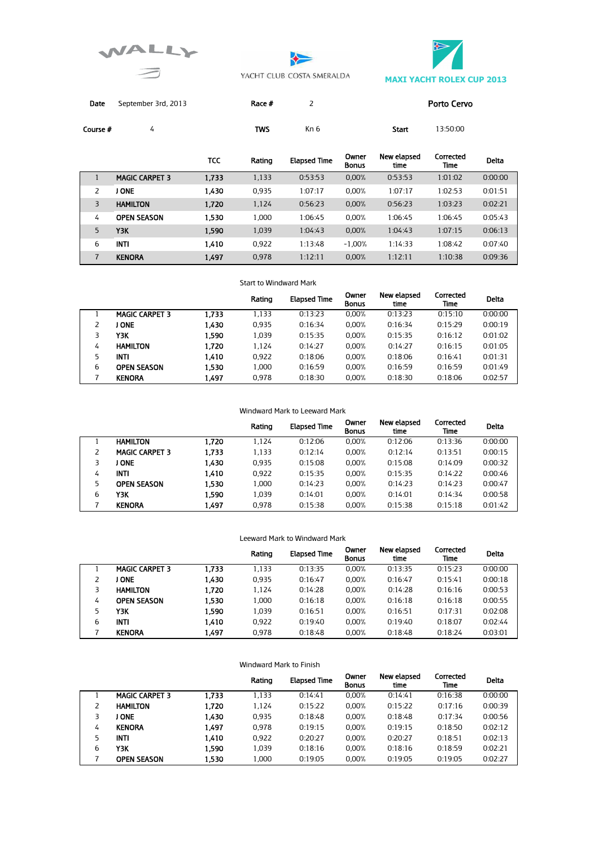





Date September 3rd, 2013 Race # 2 Porto Cervo

| 4                     |            | TWS    | Kn 6                |                       | Start               | 13:50:00          |              |
|-----------------------|------------|--------|---------------------|-----------------------|---------------------|-------------------|--------------|
|                       | <b>TCC</b> | Rating | <b>Elapsed Time</b> | Owner<br><b>Bonus</b> | New elapsed<br>time | Corrected<br>Time | <b>Delta</b> |
| <b>MAGIC CARPET 3</b> | 1.733      | 1,133  | 0:53:53             | 0.00%                 | 0:53:53             | 1:01:02           | 0:00:00      |
| <b>J ONE</b>          | 1,430      | 0.935  | 1:07:17             | 0.00%                 | 1:07:17             | 1:02:53           | 0:01:51      |
| <b>HAMILTON</b>       | 1,720      | 1.124  | 0:56:23             | 0.00%                 | 0:56:23             | 1:03:23           | 0:02:21      |
| <b>OPEN SEASON</b>    | 1,530      | 1.000  | 1:06:45             | 0.00%                 | 1:06:45             | 1:06:45           | 0:05:43      |
| Y3K                   | 1.590      | 1,039  | 1:04:43             | 0.00%                 | 1:04:43             | 1:07:15           | 0:06:13      |
| <b>INTI</b>           | 1.410      | 0.922  | 1:13:48             | $-1.00%$              | 1:14:33             | 1:08:42           | 0:07:40      |
| <b>KENORA</b>         | 1.497      | 0.978  | 1:12:11             | 0.00%                 | 1:12:11             | 1:10:38           | 0:09:36      |
|                       |            |        |                     |                       |                     |                   |              |

#### Start to Windward Mark

|   |                       |       | Rating | <b>Elapsed Time</b> | Owner<br><b>Bonus</b> | New elapsed<br>time | Corrected<br>Time | <b>Delta</b> |
|---|-----------------------|-------|--------|---------------------|-----------------------|---------------------|-------------------|--------------|
|   | <b>MAGIC CARPET 3</b> | 1.733 | 1.133  | 0:13:23             | $0.00\%$              | 0:13:23             | 0:15:10           | 0:00:00      |
|   | I ONE                 | 1,430 | 0.935  | 0:16:34             | $0.00\%$              | 0:16:34             | 0:15:29           | 0:00:19      |
|   | ΥЗΚ                   | 1.590 | 1.039  | 0:15:35             | $0.00\%$              | 0:15:35             | 0:16:12           | 0:01:02      |
| 4 | <b>HAMILTON</b>       | 1.720 | 1.124  | 0:14:27             | $0.00\%$              | 0:14:27             | 0:16:15           | 0:01:05      |
| 5 | INTI                  | 1.410 | 0.922  | 0:18:06             | $0.00\%$              | 0:18:06             | 0:16:41           | 0:01:31      |
| 6 | <b>OPEN SEASON</b>    | 1.530 | 1.000  | 0:16:59             | $0.00\%$              | 0:16:59             | 0:16:59           | 0:01:49      |
|   | <b>KENORA</b>         | 1.497 | 0.978  | 0:18:30             | 0.00%                 | 0:18:30             | 0:18:06           | 0:02:57      |

### Windward Mark to Leeward Mark

|    |                       |       | Rating | <b>Elapsed Time</b> | Owner<br><b>Bonus</b> | New elapsed<br>time | Corrected<br><b>Time</b> | <b>Delta</b> |
|----|-----------------------|-------|--------|---------------------|-----------------------|---------------------|--------------------------|--------------|
|    | <b>HAMILTON</b>       | 1.720 | 1.124  | 0:12:06             | 0.00%                 | 0:12:06             | 0:13:36                  | 0:00:00      |
|    | <b>MAGIC CARPET 3</b> | 1,733 | 1.133  | 0:12:14             | 0.00%                 | 0:12:14             | 0:13:51                  | 0:00:15      |
|    | <b>ONE</b>            | 1,430 | 0.935  | 0:15:08             | 0.00%                 | 0:15:08             | 0:14:09                  | 0:00:32      |
| 4  | INTI                  | 1,410 | 0.922  | 0:15:35             | 0.00%                 | 0:15:35             | 0:14:22                  | 0:00:46      |
| 5. | <b>OPEN SEASON</b>    | 1.530 | 1.000  | 0:14:23             | 0.00%                 | 0:14:23             | 0:14:23                  | 0:00:47      |
| 6  | ΥЗΚ                   | 1.590 | 1.039  | 0:14:01             | 0.00%                 | 0:14:01             | 0:14:34                  | 0:00:58      |
|    | <b>KENORA</b>         | 1.497 | 0.978  | 0:15:38             | 0.00%                 | 0:15:38             | 0:15:18                  | 0:01:42      |

### Leeward Mark to Windward Mark

|    |                       |       | Rating | <b>Elapsed Time</b> | Owner<br><b>Bonus</b> | New elapsed<br>time | Corrected<br>Time | Delta   |
|----|-----------------------|-------|--------|---------------------|-----------------------|---------------------|-------------------|---------|
|    | <b>MAGIC CARPET 3</b> | 1.733 | 1.133  | 0:13:35             | 0.00%                 | 0:13:35             | 0:15:23           | 0:00:00 |
|    | I ONE                 | 1,430 | 0.935  | 0:16:47             | 0.00%                 | 0:16:47             | 0:15:41           | 0:00:18 |
|    | <b>HAMILTON</b>       | 1.720 | 1.124  | 0:14:28             | 0.00%                 | 0:14:28             | 0:16:16           | 0:00:53 |
| 4  | <b>OPEN SEASON</b>    | 1,530 | 1.000  | 0:16:18             | 0.00%                 | 0:16:18             | 0:16:18           | 0:00:55 |
| 5. | ΥЗΚ                   | 1,590 | 1.039  | 0:16:51             | 0.00%                 | 0:16:51             | 0:17:31           | 0:02:08 |
| 6  | <b>INTI</b>           | 1,410 | 0.922  | 0:19:40             | 0.00%                 | 0:19:40             | 0:18:07           | 0:02:44 |
|    | <b>KENORA</b>         | 1.497 | 0.978  | 0:18:48             | 0.00%                 | 0:18:48             | 0:18:24           | 0:03:01 |

|   |                       |       | Rating | <b>Elapsed Time</b> | Owner<br><b>Bonus</b> | New elapsed<br>time | Corrected<br><b>Time</b> | <b>Delta</b> |
|---|-----------------------|-------|--------|---------------------|-----------------------|---------------------|--------------------------|--------------|
|   | <b>MAGIC CARPET 3</b> | 1.733 | 1.133  | 0:14:41             | 0.00%                 | 0:14:41             | 0:16:38                  | 0:00:00      |
|   | <b>HAMILTON</b>       | 1,720 | 1.124  | 0:15:22             | 0.00%                 | 0:15:22             | 0:17:16                  | 0:00:39      |
|   | <b>ONE</b>            | 1,430 | 0.935  | 0:18:48             | 0.00%                 | 0:18:48             | 0:17:34                  | 0:00:56      |
| 4 | <b>KENORA</b>         | 1,497 | 0.978  | 0:19:15             | 0.00%                 | 0:19:15             | 0:18:50                  | 0:02:12      |
| 5 | <b>INTI</b>           | 1,410 | 0.922  | 0:20:27             | 0.00%                 | 0:20:27             | 0:18:51                  | 0:02:13      |
| 6 | ҮЗК                   | 1.590 | 1.039  | 0:18:16             | 0.00%                 | 0:18:16             | 0:18:59                  | 0:02:21      |
|   | <b>OPEN SEASON</b>    | 1.530 | 1.000  | 0:19:05             | 0.00%                 | 0:19:05             | 0:19:05                  | 0:02:27      |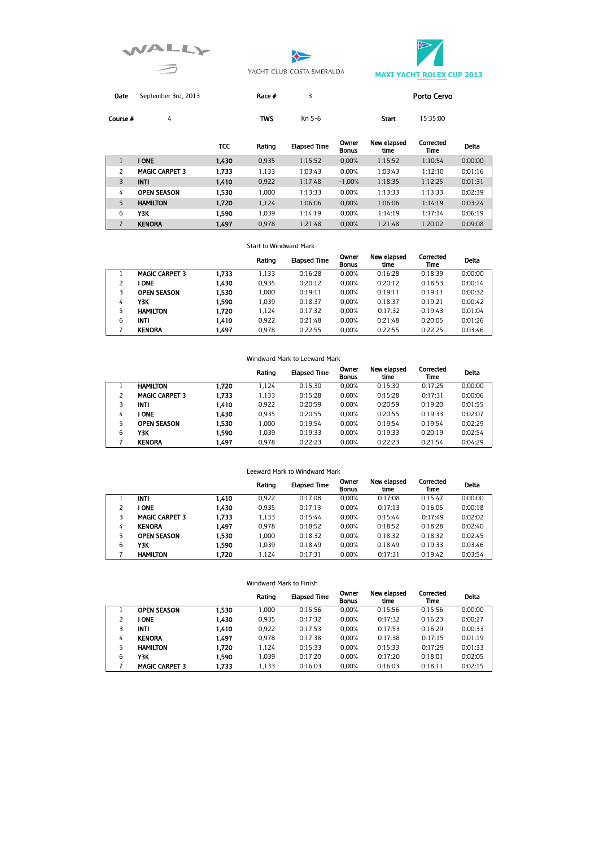





Date September 3rd, 2013 Race # 3 Porto Cervo

**Course #** 4 TWS Kn 5-6 Start 15:35:00

|   |                       | тсс   | Rating | <b>Elapsed Time</b> | Owner<br><b>Bonus</b> | New elapsed<br>time | Corrected<br>Time | Delta   |
|---|-----------------------|-------|--------|---------------------|-----------------------|---------------------|-------------------|---------|
|   | <b>ONE</b>            | 1,430 | 0.935  | 1:15:52             | 0.00%                 | 1:15:52             | 1:10:54           | 0:00:00 |
|   | <b>MAGIC CARPET 3</b> | 1,733 | 1.133  | 1:03:43             | 0.00%                 | 1:03:43             | 1:12:10           | 0:01:16 |
| 3 | <b>INTI</b>           | 1,410 | 0.922  | 1:17:48             | $-1.00%$              | 1:18:35             | 1:12:25           | 0:01:31 |
| 4 | OPEN SEASON           | 1.530 | 1.000  | 1:13:33             | 0.00%                 | 1:13:33             | 1:13:33           | 0:02:39 |
| 5 | <b>HAMILTON</b>       | 1,720 | 1.124  | 1:06:06             | 0.00%                 | 1:06:06             | 1:14:19           | 0:03:24 |
| 6 | Y3K                   | 1.590 | 1.039  | 1:14:19             | 0.00%                 | 1:14:19             | 1:17:14           | 0:06:19 |
|   | <b>KENORA</b>         | 1.497 | 0.978  | 1:21:48             | 0.00%                 | 1:21:48             | 1:20:02           | 0:09:08 |

#### Start to Windward Mark

|   |                       |       | Rating | <b>Elapsed Time</b> | Owner<br><b>Bonus</b> | New elapsed<br>time | Corrected<br>Time | Delta   |
|---|-----------------------|-------|--------|---------------------|-----------------------|---------------------|-------------------|---------|
|   | <b>MAGIC CARPET 3</b> | 1.733 | 1.133  | 0:16:28             | 0.00%                 | 0:16:28             | 0:18:39           | 0:00:00 |
|   | <b>ONE</b>            | 1,430 | 0.935  | 0:20:12             | 0.00%                 | 0:20:12             | 0:18:53           | 0:00:14 |
|   | <b>OPEN SEASON</b>    | 1.530 | 1.000  | 0:19:11             | 0.00%                 | 0:19:11             | 0:19:11           | 0:00:32 |
| 4 | ΥЗΚ                   | 1.590 | 1.039  | 0:18:37             | 0.00%                 | 0:18:37             | 0:19:21           | 0:00:42 |
| 5 | <b>HAMILTON</b>       | 1.720 | 1.124  | 0:17:32             | 0.00%                 | 0:17:32             | 0:19:43           | 0:01:04 |
| 6 | INTI                  | 1,410 | 0.922  | 0:21:48             | 0.00%                 | 0:21:48             | 0:20:05           | 0:01:26 |
|   | <b>KENORA</b>         | 1.497 | 0.978  | 0:22:55             | 0.00%                 | 0:22:55             | 0:22:25           | 0:03:46 |

| Windward Mark to Leeward Mark |                       |       |        |                     |                       |                     |                   |         |  |
|-------------------------------|-----------------------|-------|--------|---------------------|-----------------------|---------------------|-------------------|---------|--|
|                               |                       |       | Rating | <b>Elapsed Time</b> | Owner<br><b>Bonus</b> | New elapsed<br>time | Corrected<br>Time | Delta   |  |
|                               | <b>HAMILTON</b>       | 1.720 | 1.124  | 0:15:30             | 0.00%                 | 0:15:30             | 0:17:25           | 0:00:00 |  |
| 2                             | <b>MAGIC CARPET 3</b> | 1.733 | 1,133  | 0:15:28             | 0.00%                 | 0:15:28             | 0:17:31           | 0:00:06 |  |
| 3                             | INTI                  | 1,410 | 0,922  | 0:20:59             | 0.00%                 | 0:20:59             | 0:19:20           | 0:01:55 |  |
| 4                             | J ONE                 | 1,430 | 0.935  | 0:20:55             | 0.00%                 | 0:20:55             | 0:19:33           | 0:02:07 |  |
| 5                             | <b>OPEN SEASON</b>    | 1,530 | 1.000  | 0:19:54             | 0.00%                 | 0:19:54             | 0:19:54           | 0:02:29 |  |
| 6                             | ΥЗΚ                   | 1,590 | 1.039  | 0:19:33             | 0.00%                 | 0:19:33             | 0:20:19           | 0:02:54 |  |
| 7                             | <b>KENORA</b>         | 1.497 | 0.978  | 0:22:23             | 0.00%                 | 0:22:23             | 0:21:54           | 0:04:29 |  |

#### Leeward Mark to Windward Mark

|   |                       |       | Rating | <b>Elapsed Time</b> | Owner<br><b>Bonus</b> | New elapsed<br>time | Corrected<br>Time | Delta   |
|---|-----------------------|-------|--------|---------------------|-----------------------|---------------------|-------------------|---------|
|   | INTI                  | 1.410 | 0.922  | 0:17:08             | 0.00%                 | 0:17:08             | 0:15:47           | 0:00:00 |
|   | J ONE                 | 1.430 | 0.935  | 0:17:13             | 0.00%                 | 0:17:13             | 0:16:05           | 0:00:18 |
|   | <b>MAGIC CARPET 3</b> | 1.733 | 1.133  | 0:15:44             | 0.00%                 | 0:15:44             | 0:17:49           | 0:02:02 |
| 4 | <b>KENORA</b>         | 1,497 | 0.978  | 0:18:52             | 0.00%                 | 0:18:52             | 0:18:28           | 0:02:40 |
| 5 | <b>OPEN SEASON</b>    | 1,530 | 1.000  | 0:18:32             | 0.00%                 | 0:18:32             | 0:18:32           | 0:02:45 |
| 6 | ΥЗΚ                   | 1.590 | 1.039  | 0:18:49             | 0.00%                 | 0:18:49             | 0:19:33           | 0:03:46 |
|   | <b>HAMILTON</b>       | 1.720 | 1.124  | 0:17:31             | 0.00%                 | 0:17:31             | 0:19:42           | 0:03:54 |

|   |                       |       | Rating | <b>Elapsed Time</b> | Owner<br><b>Bonus</b> | New elapsed<br>time | Corrected<br>Time | Delta   |
|---|-----------------------|-------|--------|---------------------|-----------------------|---------------------|-------------------|---------|
|   | <b>OPEN SEASON</b>    | 1.530 | 1.000  | 0:15:56             | 0.00%                 | 0:15:56             | 0:15:56           | 0:00:00 |
|   | J ONE                 | 1,430 | 0.935  | 0:17:32             | 0.00%                 | 0:17:32             | 0:16:23           | 0:00:27 |
|   | <b>INTI</b>           | 1,410 | 0.922  | 0:17:53             | 0.00%                 | 0:17:53             | 0:16:29           | 0:00:33 |
| 4 | <b>KENORA</b>         | 1.497 | 0.978  | 0:17:38             | 0.00%                 | 0:17:38             | 0:17:15           | 0:01:19 |
| 5 | <b>HAMILTON</b>       | 1.720 | 1.124  | 0:15:33             | 0.00%                 | 0:15:33             | 0:17:29           | 0:01:33 |
| 6 | Y3K                   | 1.590 | 1.039  | 0:17:20             | 0.00%                 | 0:17:20             | 0:18:01           | 0:02:05 |
|   | <b>MAGIC CARPET 3</b> | 1.733 | 1,133  | 0:16:03             | 0.00%                 | 0:16:03             | 0:18:11           | 0:02:15 |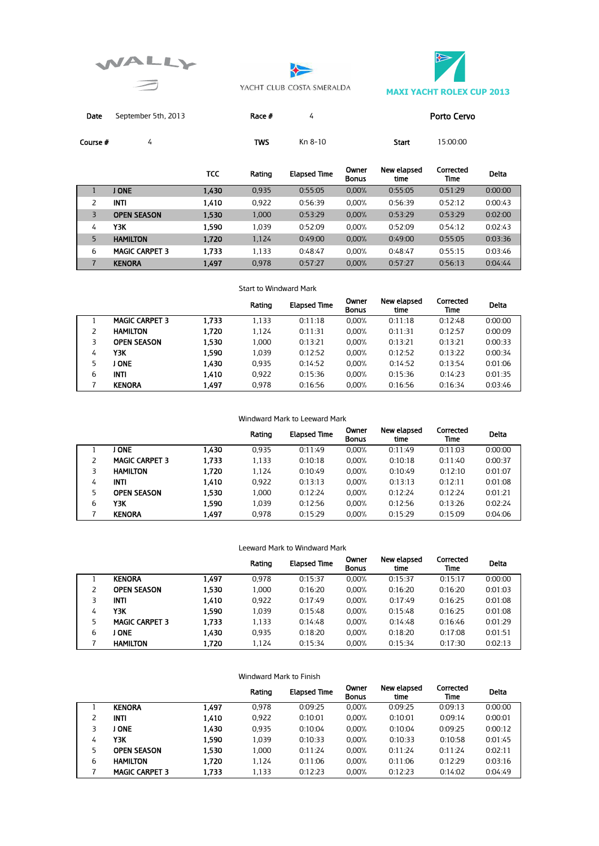





Date September 5th, 2013 Race # 4 4 Porto Cervo

**Course # 8 A 4 Course # 6 A 4 Course # 6 A 4 Course # 8 A 4 A 5:00:00** Start 15:00:00

|   |                       | TCC   | Rating | <b>Elapsed Time</b> | Owner<br><b>Bonus</b> | New elapsed<br>time | Corrected<br>Time | Delta   |
|---|-----------------------|-------|--------|---------------------|-----------------------|---------------------|-------------------|---------|
|   | <b>ONE</b>            | 1,430 | 0.935  | 0:55:05             | 0.00%                 | 0:55:05             | 0:51:29           | 0:00:00 |
|   | <b>INTI</b>           | 1,410 | 0.922  | 0:56:39             | 0.00%                 | 0:56:39             | 0:52:12           | 0:00:43 |
| 3 | <b>OPEN SEASON</b>    | 1,530 | 1.000  | 0:53:29             | 0.00%                 | 0:53:29             | 0:53:29           | 0:02:00 |
| 4 | ΥЗΚ                   | 1.590 | 1.039  | 0:52:09             | 0.00%                 | 0:52:09             | 0:54:12           | 0:02:43 |
| 5 | <b>HAMILTON</b>       | 1.720 | 1.124  | 0:49:00             | 0.00%                 | 0:49:00             | 0:55:05           | 0:03:36 |
| 6 | <b>MAGIC CARPET 3</b> | 1.733 | 1.133  | 0:48:47             | 0.00%                 | 0:48:47             | 0:55:15           | 0:03:46 |
| 7 | <b>KENORA</b>         | 1,497 | 0.978  | 0:57:27             | 0.00%                 | 0:57:27             | 0:56:13           | 0:04:44 |

### Start to Windward Mark

|   |                       |       | Rating | <b>Elapsed Time</b> | Owner<br><b>Bonus</b> | New elapsed<br>time | Corrected<br>Time | <b>Delta</b> |
|---|-----------------------|-------|--------|---------------------|-----------------------|---------------------|-------------------|--------------|
|   | <b>MAGIC CARPET 3</b> | 1.733 | 1.133  | 0:11:18             | 0.00%                 | 0:11:18             | 0:12:48           | 0:00:00      |
|   | <b>HAMILTON</b>       | 1.720 | 1.124  | 0:11:31             | 0.00%                 | 0:11:31             | 0:12:57           | 0:00:09      |
|   | <b>OPEN SEASON</b>    | 1.530 | 1.000  | 0:13:21             | 0.00%                 | 0:13:21             | 0:13:21           | 0:00:33      |
| 4 | ΥЗΚ                   | 1.590 | 1.039  | 0:12:52             | 0.00%                 | 0:12:52             | 0:13:22           | 0:00:34      |
| 5 | I ONE                 | 1.430 | 0.935  | 0:14:52             | 0.00%                 | 0:14:52             | 0:13:54           | 0:01:06      |
| 6 | <b>INTI</b>           | 1,410 | 0.922  | 0:15:36             | 0.00%                 | 0:15:36             | 0:14:23           | 0:01:35      |
|   | <b>KENORA</b>         | 1,497 | 0.978  | 0:16:56             | 0.00%                 | 0:16:56             | 0:16:34           | 0:03:46      |

### Windward Mark to Leeward Mark

|   |                       |       | Rating | <b>Elapsed Time</b> | Owner<br><b>Bonus</b> | New elapsed<br>time | Corrected<br>Time | <b>Delta</b> |
|---|-----------------------|-------|--------|---------------------|-----------------------|---------------------|-------------------|--------------|
|   | I ONE                 | 1,430 | 0.935  | 0:11:49             | 0.00%                 | 0:11:49             | 0:11:03           | 0:00:00      |
|   | <b>MAGIC CARPET 3</b> | 1,733 | 1.133  | 0:10:18             | 0.00%                 | 0:10:18             | 0:11:40           | 0:00:37      |
|   | <b>HAMILTON</b>       | 1.720 | 1.124  | 0:10:49             | 0.00%                 | 0:10:49             | 0:12:10           | 0:01:07      |
| 4 | <b>INTI</b>           | 1,410 | 0.922  | 0:13:13             | 0.00%                 | 0:13:13             | 0:12:11           | 0:01:08      |
| 5 | <b>OPEN SEASON</b>    | 1.530 | 1.000  | 0:12:24             | 0.00%                 | 0:12:24             | 0:12:24           | 0:01:21      |
| 6 | ΥЗΚ                   | 1,590 | 1.039  | 0:12:56             | 0.00%                 | 0:12:56             | 0:13:26           | 0:02:24      |
|   | <b>KENORA</b>         | 1.497 | 0.978  | 0:15:29             | 0.00%                 | 0:15:29             | 0:15:09           | 0:04:06      |

### Leeward Mark to Windward Mark

|   |                       |       | Rating | <b>Elapsed Time</b> | Owner<br><b>Bonus</b> | New elapsed<br>time | Corrected<br>Time | Delta   |
|---|-----------------------|-------|--------|---------------------|-----------------------|---------------------|-------------------|---------|
|   | <b>KENORA</b>         | 1,497 | 0.978  | 0:15:37             | 0.00%                 | 0:15:37             | 0:15:17           | 0:00:00 |
|   | <b>OPEN SEASON</b>    | 1.530 | 1.000  | 0:16:20             | 0.00%                 | 0:16:20             | 0:16:20           | 0:01:03 |
|   | <b>INTI</b>           | 1,410 | 0.922  | 0:17:49             | 0.00%                 | 0:17:49             | 0:16:25           | 0:01:08 |
| 4 | ҮЗК                   | 1.590 | 1.039  | 0:15:48             | 0.00%                 | 0:15:48             | 0:16:25           | 0:01:08 |
|   | <b>MAGIC CARPET 3</b> | 1.733 | 1,133  | 0:14:48             | 0.00%                 | 0:14:48             | 0:16:46           | 0:01:29 |
| 6 | <b>ONE</b>            | 1,430 | 0.935  | 0:18:20             | 0.00%                 | 0:18:20             | 0:17:08           | 0:01:51 |
|   | <b>HAMILTON</b>       | 1.720 | 1.124  | 0:15:34             | 0.00%                 | 0:15:34             | 0:17:30           | 0:02:13 |

|   |                       |       | Rating | <b>Elapsed Time</b> | Owner<br><b>Bonus</b> | New elapsed<br>time | Corrected<br>Time | Delta   |
|---|-----------------------|-------|--------|---------------------|-----------------------|---------------------|-------------------|---------|
|   | <b>KENORA</b>         | 1,497 | 0.978  | 0:09:25             | 0.00%                 | 0:09:25             | 0:09:13           | 0:00:00 |
|   | <b>INTI</b>           | 1.410 | 0.922  | 0:10:01             | 0.00%                 | 0:10:01             | 0:09:14           | 0:00:01 |
| 3 | <b>ONE</b>            | 1,430 | 0.935  | 0:10:04             | 0.00%                 | 0:10:04             | 0:09:25           | 0:00:12 |
| 4 | ΥЗΚ                   | 1.590 | 1.039  | 0:10:33             | 0.00%                 | 0:10:33             | 0:10:58           | 0:01:45 |
| 5 | <b>OPEN SEASON</b>    | 1.530 | 1.000  | 0:11:24             | 0.00%                 | 0:11:24             | 0:11:24           | 0:02:11 |
| 6 | <b>HAMILTON</b>       | 1,720 | 1.124  | 0:11:06             | 0.00%                 | 0:11:06             | 0:12:29           | 0:03:16 |
|   | <b>MAGIC CARPET 3</b> | 1.733 | 1.133  | 0:12:23             | 0.00%                 | 0:12:23             | 0:14:02           | 0:04:49 |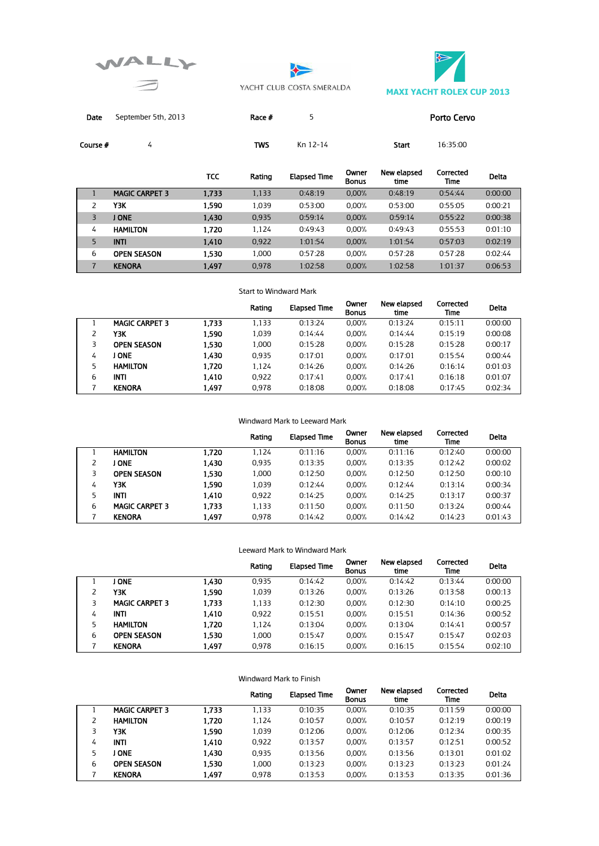





Date September 5th, 2013 Race # 5 Porto Cervo

**Course #** 4  $\blacksquare$  4  $\blacksquare$   $\blacksquare$   $\blacksquare$   $\blacksquare$   $\blacksquare$   $\blacksquare$   $\blacksquare$   $\blacksquare$   $\blacksquare$   $\blacksquare$   $\blacksquare$   $\blacksquare$   $\blacksquare$   $\blacksquare$   $\blacksquare$   $\blacksquare$   $\blacksquare$   $\blacksquare$   $\blacksquare$   $\blacksquare$   $\blacksquare$   $\blacksquare$   $\blacksquare$   $\blacksquare$   $\blacksquare$   $\blacksquare$   $\blacksquare$   $\blacksquare$   $\bl$ 

|                |                       | <b>TCC</b> | Rating | <b>Elapsed Time</b> | Owner<br><b>Bonus</b> | New elapsed<br>time | Corrected<br>Time | Delta   |
|----------------|-----------------------|------------|--------|---------------------|-----------------------|---------------------|-------------------|---------|
|                | <b>MAGIC CARPET 3</b> | 1,733      | 1,133  | 0:48:19             | 0.00%                 | 0:48:19             | 0:54:44           | 0:00:00 |
| 2              | Y3K                   | 1,590      | 1.039  | 0:53:00             | 0.00%                 | 0:53:00             | 0:55:05           | 0:00:21 |
| 3              | J ONE                 | 1,430      | 0.935  | 0:59:14             | 0.00%                 | 0:59:14             | 0:55:22           | 0:00:38 |
| 4              | <b>HAMILTON</b>       | 1.720      | 1.124  | 0:49:43             | 0.00%                 | 0:49:43             | 0:55:53           | 0:01:10 |
| 5              | <b>INTI</b>           | 1.410      | 0.922  | 1:01:54             | 0.00%                 | 1:01:54             | 0:57:03           | 0:02:19 |
| 6              | <b>OPEN SEASON</b>    | 1.530      | 1.000  | 0:57:28             | 0.00%                 | 0:57:28             | 0:57:28           | 0:02:44 |
| $\overline{7}$ | <b>KENORA</b>         | 1.497      | 0.978  | 1:02:58             | 0.00%                 | 1:02:58             | 1:01:37           | 0:06:53 |

### Start to Windward Mark

|   |                       |       | Rating | <b>Elapsed Time</b> | Owner<br><b>Bonus</b> | New elapsed<br>time | Corrected<br>Time | <b>Delta</b> |
|---|-----------------------|-------|--------|---------------------|-----------------------|---------------------|-------------------|--------------|
|   | <b>MAGIC CARPET 3</b> | 1.733 | 1.133  | 0:13:24             | 0.00%                 | 0:13:24             | 0:15:11           | 0:00:00      |
|   | ΥЗΚ                   | 1.590 | 1.039  | 0:14:44             | 0.00%                 | 0:14:44             | 0:15:19           | 0:00:08      |
|   | <b>OPEN SEASON</b>    | 1.530 | 1.000  | 0:15:28             | 0.00%                 | 0:15:28             | 0:15:28           | 0:00:17      |
| 4 | I ONE                 | 1,430 | 0.935  | 0:17:01             | 0.00%                 | 0:17:01             | 0:15:54           | 0:00:44      |
| 5 | <b>HAMILTON</b>       | 1,720 | 1.124  | 0:14:26             | 0.00%                 | 0:14:26             | 0:16:14           | 0:01:03      |
| 6 | INTI                  | 1,410 | 0.922  | 0:17:41             | 0.00%                 | 0:17:41             | 0:16:18           | 0:01:07      |
|   | <b>KENORA</b>         | 1,497 | 0.978  | 0:18:08             | 0.00%                 | 0:18:08             | 0:17:45           | 0:02:34      |

### Windward Mark to Leeward Mark

|   |                       |       | Rating | <b>Elapsed Time</b> | Owner<br><b>Bonus</b> | New elapsed<br>time | Corrected<br>Time | <b>Delta</b> |
|---|-----------------------|-------|--------|---------------------|-----------------------|---------------------|-------------------|--------------|
|   | <b>HAMILTON</b>       | 1.720 | 1.124  | 0:11:16             | 0.00%                 | 0:11:16             | 0:12:40           | 0:00:00      |
|   | <b>ONE</b>            | 1,430 | 0.935  | 0:13:35             | 0.00%                 | 0:13:35             | 0:12:42           | 0:00:02      |
|   | <b>OPEN SEASON</b>    | 1.530 | 1.000  | 0:12:50             | 0.00%                 | 0:12:50             | 0:12:50           | 0:00:10      |
| 4 | ΥЗΚ                   | 1.590 | 1.039  | 0:12:44             | 0.00%                 | 0:12:44             | 0:13:14           | 0:00:34      |
|   | <b>INTI</b>           | 1.410 | 0.922  | 0:14:25             | 0.00%                 | 0:14:25             | 0:13:17           | 0:00:37      |
| 6 | <b>MAGIC CARPET 3</b> | 1.733 | 1.133  | 0:11:50             | 0.00%                 | 0:11:50             | 0:13:24           | 0:00:44      |
|   | <b>KENORA</b>         | 1,497 | 0.978  | 0:14:42             | 0.00%                 | 0:14:42             | 0:14:23           | 0:01:43      |

#### Leeward Mark to Windward Mark

|   |                       |       | Rating | <b>Elapsed Time</b> | Owner<br><b>Bonus</b> | New elapsed<br>time | Corrected<br>Time | <b>Delta</b> |
|---|-----------------------|-------|--------|---------------------|-----------------------|---------------------|-------------------|--------------|
|   | <b>ONE</b>            | 1.430 | 0.935  | 0:14:42             | 0.00%                 | 0:14:42             | 0:13:44           | 0:00:00      |
|   | ΥЗΚ                   | 1,590 | 1.039  | 0:13:26             | 0.00%                 | 0:13:26             | 0:13:58           | 0:00:13      |
|   | <b>MAGIC CARPET 3</b> | 1.733 | 1,133  | 0:12:30             | 0.00%                 | 0:12:30             | 0:14:10           | 0:00:25      |
| 4 | <b>INTI</b>           | 1,410 | 0.922  | 0:15:51             | 0.00%                 | 0:15:51             | 0:14:36           | 0:00:52      |
| 5 | <b>HAMILTON</b>       | 1.720 | 1.124  | 0:13:04             | 0.00%                 | 0:13:04             | 0:14:41           | 0:00:57      |
| 6 | <b>OPEN SEASON</b>    | 1,530 | 1.000  | 0:15:47             | 0.00%                 | 0:15:47             | 0:15:47           | 0:02:03      |
|   | <b>KENORA</b>         | 1.497 | 0.978  | 0:16:15             | $0.00\%$              | 0:16:15             | 0:15:54           | 0:02:10      |

|    |                       |       | Rating | <b>Elapsed Time</b> | Owner<br><b>Bonus</b> | New elapsed<br>time | Corrected<br>Time | <b>Delta</b> |
|----|-----------------------|-------|--------|---------------------|-----------------------|---------------------|-------------------|--------------|
|    | <b>MAGIC CARPET 3</b> | 1.733 | 1.133  | 0:10:35             | 0.00%                 | 0:10:35             | 0:11:59           | 0:00:00      |
|    | <b>HAMILTON</b>       | 1,720 | 1.124  | 0:10:57             | 0.00%                 | 0:10:57             | 0:12:19           | 0:00:19      |
| 3. | Y3K                   | 1.590 | 1.039  | 0:12:06             | 0.00%                 | 0:12:06             | 0:12:34           | 0:00:35      |
| 4  | <b>INTI</b>           | 1,410 | 0.922  | 0:13:57             | 0.00%                 | 0:13:57             | 0:12:51           | 0:00:52      |
| 5  | <b>ONE</b>            | 1.430 | 0.935  | 0:13:56             | 0.00%                 | 0:13:56             | 0:13:01           | 0:01:02      |
| 6  | <b>OPEN SEASON</b>    | 1,530 | 1.000  | 0:13:23             | 0.00%                 | 0:13:23             | 0:13:23           | 0:01:24      |
|    | <b>KENORA</b>         | 1.497 | 0,978  | 0:13:53             | 0.00%                 | 0:13:53             | 0:13:35           | 0:01:36      |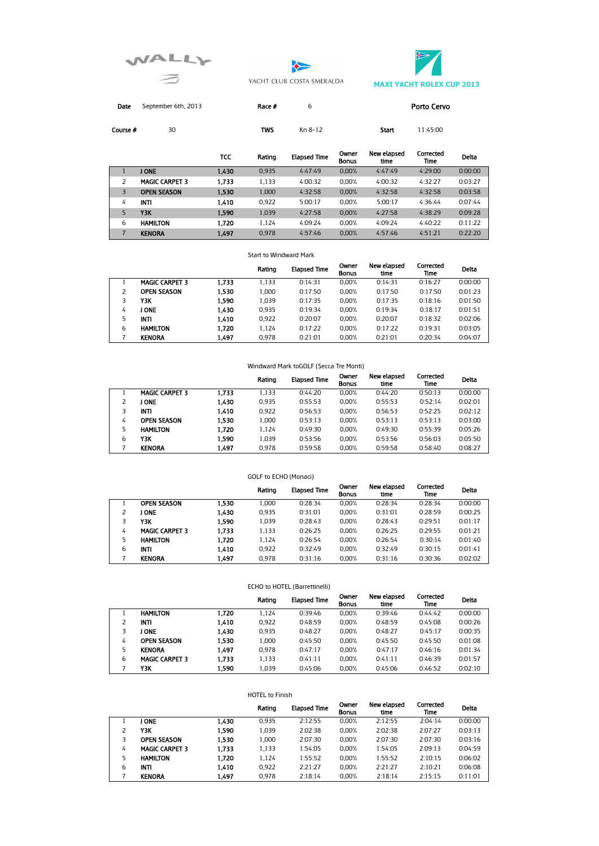





Date September 6th, 2013 **Race #** 6 **Porto Cervo** 

**Course #** 30 **TWS** Kn 8-12 **Start** 11:45:00

|   |                       | <b>TCC</b> | Rating | <b>Elapsed Time</b> | Owner<br><b>Bonus</b> | New elapsed<br>time | Corrected<br>Time | Delta   |
|---|-----------------------|------------|--------|---------------------|-----------------------|---------------------|-------------------|---------|
|   | I ONE                 | 1,430      | 0.935  | 4:47:49             | 0.00%                 | 4:47:49             | 4:29:00           | 0:00:00 |
|   | <b>MAGIC CARPET 3</b> | 1.733      | 1.133  | 4:00:32             | 0.00%                 | 4:00:32             | 4:32:27           | 0:03:27 |
| 3 | <b>OPEN SEASON</b>    | 1.530      | 1.000  | 4:32:58             | 0.00%                 | 4:32:58             | 4:32:58           | 0:03:58 |
| 4 | <b>INTI</b>           | 1,410      | 0.922  | 5:00:17             | 0.00%                 | 5:00:17             | 4:36:44           | 0:07:44 |
| 5 | Y3K                   | 1.590      | 1.039  | 4:27:58             | 0.00%                 | 4:27:58             | 4:38:29           | 0:09:28 |
| 6 | <b>HAMILTON</b>       | 1,720      | 1.124  | 4:09:24             | 0.00%                 | 4:09:24             | 4:40:22           | 0:11:22 |
| 7 | <b>KENORA</b>         | 1.497      | 0.978  | 4:57:46             | 0.00%                 | 4:57:46             | 4:51:21           | 0:22:20 |

#### Start to Windward Mark

|   |                       |       | Rating | <b>Elapsed Time</b> | Owner<br><b>Bonus</b> | New elapsed<br>time | Corrected<br>Time | Delta   |
|---|-----------------------|-------|--------|---------------------|-----------------------|---------------------|-------------------|---------|
|   | <b>MAGIC CARPET 3</b> | 1.733 | 1.133  | 0:14:31             | 0.00%                 | 0:14:31             | 0:16:27           | 0:00:00 |
|   | <b>OPEN SEASON</b>    | 1.530 | 1.000  | 0:17:50             | 0.00%                 | 0:17:50             | 0:17:50           | 0:01:23 |
|   | ΥЗΚ                   | 1,590 | 1.039  | 0:17:35             | 0.00%                 | 0:17:35             | 0:18:16           | 0:01:50 |
| 4 | J ONE                 | 1.430 | 0.935  | 0:19:34             | 0.00%                 | 0:19:34             | 0:18:17           | 0:01:51 |
| 5 | <b>INTI</b>           | 1.410 | 0.922  | 0:20:07             | 0.00%                 | 0:20:07             | 0:18:32           | 0:02:06 |
| 6 | <b>HAMILTON</b>       | 1.720 | 1.124  | 0:17:22             | 0.00%                 | 0:17:22             | 0:19:31           | 0:03:05 |
|   | <b>KENORA</b>         | 1.497 | 0.978  | 0:21:01             | 0.00%                 | 0:21:01             | 0:20:34           | 0:04:07 |

#### Windward Mark toGOLF (Secca Tre Monti)

|   |                       |       | Rating | <b>Elapsed Time</b> | Owner<br><b>Bonus</b> | New elapsed<br>time | Corrected<br>Time | <b>Delta</b> |
|---|-----------------------|-------|--------|---------------------|-----------------------|---------------------|-------------------|--------------|
|   | <b>MAGIC CARPET 3</b> | 1.733 | 1.133  | 0:44:20             | 0.00%                 | 0:44:20             | 0:50:13           | 0:00:00      |
|   | <b>ONE</b>            | 1,430 | 0.935  | 0:55:53             | 0.00%                 | 0:55:53             | 0:52:14           | 0:02:01      |
|   | <b>INTI</b>           | 1,410 | 0.922  | 0:56:53             | 0.00%                 | 0:56:53             | 0:52:25           | 0:02:12      |
| 4 | <b>OPEN SEASON</b>    | 1.530 | 1.000  | 0:53:13             | 0.00%                 | 0:53:13             | 0:53:13           | 0:03:00      |
|   | <b>HAMILTON</b>       | 1,720 | 1.124  | 0:49:30             | 0.00%                 | 0:49:30             | 0:55:39           | 0:05:26      |
| 6 | ΥЗΚ                   | 1.590 | 1.039  | 0:53:56             | 0.00%                 | 0:53:56             | 0:56:03           | 0:05:50      |
|   | <b>KENORA</b>         | 1.497 | 0.978  | 0:59:58             | 0.00%                 | 0:59:58             | 0:58:40           | 0:08:27      |

### GOLF to ECHO (Monaci)

|   |                       |       | Rating | <b>Elapsed Time</b> | Owner<br><b>Bonus</b> | New elapsed<br>time | Corrected<br>Time | <b>Delta</b> |
|---|-----------------------|-------|--------|---------------------|-----------------------|---------------------|-------------------|--------------|
|   | <b>OPEN SEASON</b>    | 1.530 | 1.000  | 0:28:34             | 0.00%                 | 0:28:34             | 0:28:34           | 0:00:00      |
|   | J ONE                 | 1,430 | 0.935  | 0:31:01             | 0.00%                 | 0:31:01             | 0:28:59           | 0:00:25      |
|   | Y3K                   | 1.590 | 1.039  | 0:28:43             | 0.00%                 | 0:28:43             | 0:29:51           | 0:01:17      |
| 4 | <b>MAGIC CARPET 3</b> | 1.733 | 1.133  | 0:26:25             | 0.00%                 | 0:26:25             | 0:29:55           | 0:01:21      |
|   | <b>HAMILTON</b>       | 1.720 | 1.124  | 0:26:54             | 0.00%                 | 0:26:54             | 0:30:14           | 0:01:40      |
| 6 | INTI                  | 1.410 | 0.922  | 0:32:49             | 0.00%                 | 0:32:49             | 0:30:15           | 0:01:41      |
|   | <b>KENORA</b>         | 1.497 | 0.978  | 0:31:16             | 0.00%                 | 0:31:16             | 0:30:36           | 0:02:02      |

### ECHO to HOTEL (Barrettinelli)

|   |                       |       | Rating | <b>Elapsed Time</b> | Owner<br><b>Bonus</b> | New elapsed<br>time | Corrected<br>Time | Delta   |
|---|-----------------------|-------|--------|---------------------|-----------------------|---------------------|-------------------|---------|
|   | <b>HAMILTON</b>       | 1.720 | 1.124  | 0:39:46             | 0.00%                 | 0:39:46             | 0:44:42           | 0:00:00 |
|   | <b>INTI</b>           | 1,410 | 0.922  | 0:48:59             | 0.00%                 | 0:48:59             | 0:45:08           | 0:00:26 |
|   | I ONE                 | 1,430 | 0.935  | 0:48:27             | 0.00%                 | 0:48:27             | 0:45:17           | 0:00:35 |
| 4 | <b>OPEN SEASON</b>    | 1.530 | 1.000  | 0:45:50             | 0.00%                 | 0:45:50             | 0:45:50           | 0:01:08 |
| 5 | <b>KENORA</b>         | 1.497 | 0.978  | 0:47:17             | 0.00%                 | 0:47:17             | 0:46:16           | 0:01:34 |
| 6 | <b>MAGIC CARPET 3</b> | 1.733 | 1.133  | 0:41:11             | 0.00%                 | 0:41:11             | 0:46:39           | 0:01:57 |
|   | ΥЗΚ                   | 1.590 | 1.039  | 0:45:06             | 0.00%                 | 0:45:06             | 0:46:52           | 0:02:10 |

#### HOTEL to Finish

|   |                       |       | Rating | <b>Elapsed Time</b> | Owner<br><b>Bonus</b> | New elapsed<br>time | Corrected<br>Time | Delta   |
|---|-----------------------|-------|--------|---------------------|-----------------------|---------------------|-------------------|---------|
|   | I ONE                 | 1,430 | 0.935  | 2:12:55             | 0.00%                 | 2:12:55             | 2:04:14           | 0:00:00 |
|   | ΥЗΚ                   | 1.590 | 1.039  | 2:02:38             | 0.00%                 | 2:02:38             | 2:07:27           | 0:03:13 |
|   | <b>OPEN SEASON</b>    | 1,530 | 1.000  | 2:07:30             | 0.00%                 | 2:07:30             | 2:07:30           | 0:03:16 |
| 4 | <b>MAGIC CARPET 3</b> | 1.733 | 1.133  | 1:54:05             | 0.00%                 | 1:54:05             | 2:09:13           | 0:04:59 |
| 5 | <b>HAMILTON</b>       | 1.720 | 1.124  | 1:55:52             | 0.00%                 | 1:55:52             | 2:10:15           | 0:06:02 |
| 6 | <b>INTI</b>           | 1,410 | 0.922  | 2:21:27             | 0.00%                 | 2:21:27             | 2:10:21           | 0:06:08 |
|   | <b>KENORA</b>         | 1.497 | 0.978  | 2:18:14             | 0.00%                 | 2:18:14             | 2:15:15           | 0:11:01 |